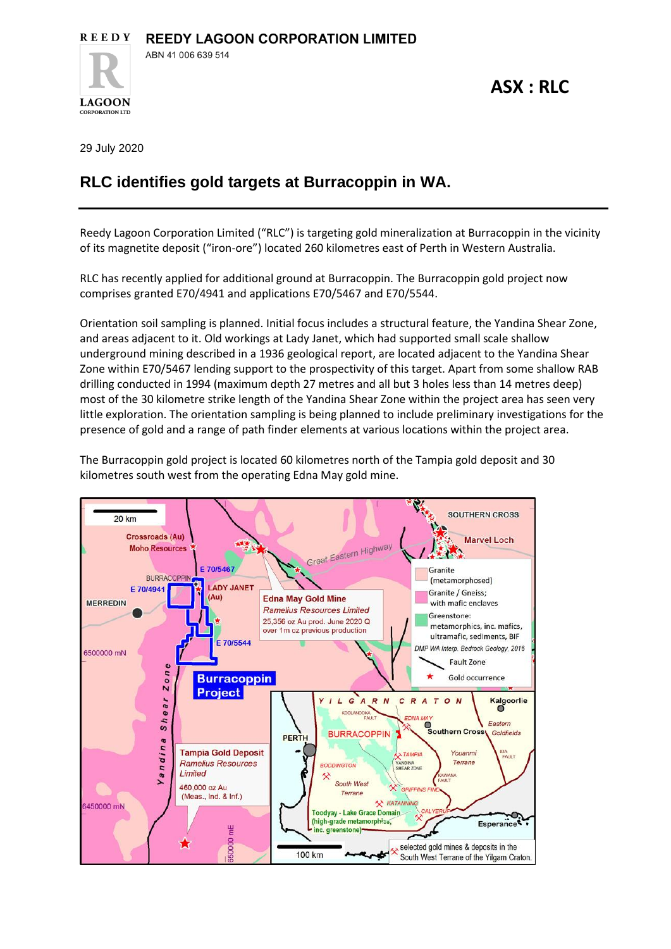

**ASX : RLC**

29 July 2020

**LAGOON CORPORATION LTD** 

## **RLC identifies gold targets at Burracoppin in WA.**

Reedy Lagoon Corporation Limited ("RLC") is targeting gold mineralization at Burracoppin in the vicinity of its magnetite deposit ("iron-ore") located 260 kilometres east of Perth in Western Australia.

RLC has recently applied for additional ground at Burracoppin. The Burracoppin gold project now comprises granted E70/4941 and applications E70/5467 and E70/5544.

Orientation soil sampling is planned. Initial focus includes a structural feature, the Yandina Shear Zone, and areas adjacent to it. Old workings at Lady Janet, which had supported small scale shallow underground mining described in a 1936 geological report, are located adjacent to the Yandina Shear Zone within E70/5467 lending support to the prospectivity of this target. Apart from some shallow RAB drilling conducted in 1994 (maximum depth 27 metres and all but 3 holes less than 14 metres deep) most of the 30 kilometre strike length of the Yandina Shear Zone within the project area has seen very little exploration. The orientation sampling is being planned to include preliminary investigations for the presence of gold and a range of path finder elements at various locations within the project area.

The Burracoppin gold project is located 60 kilometres north of the Tampia gold deposit and 30 kilometres south west from the operating Edna May gold mine.